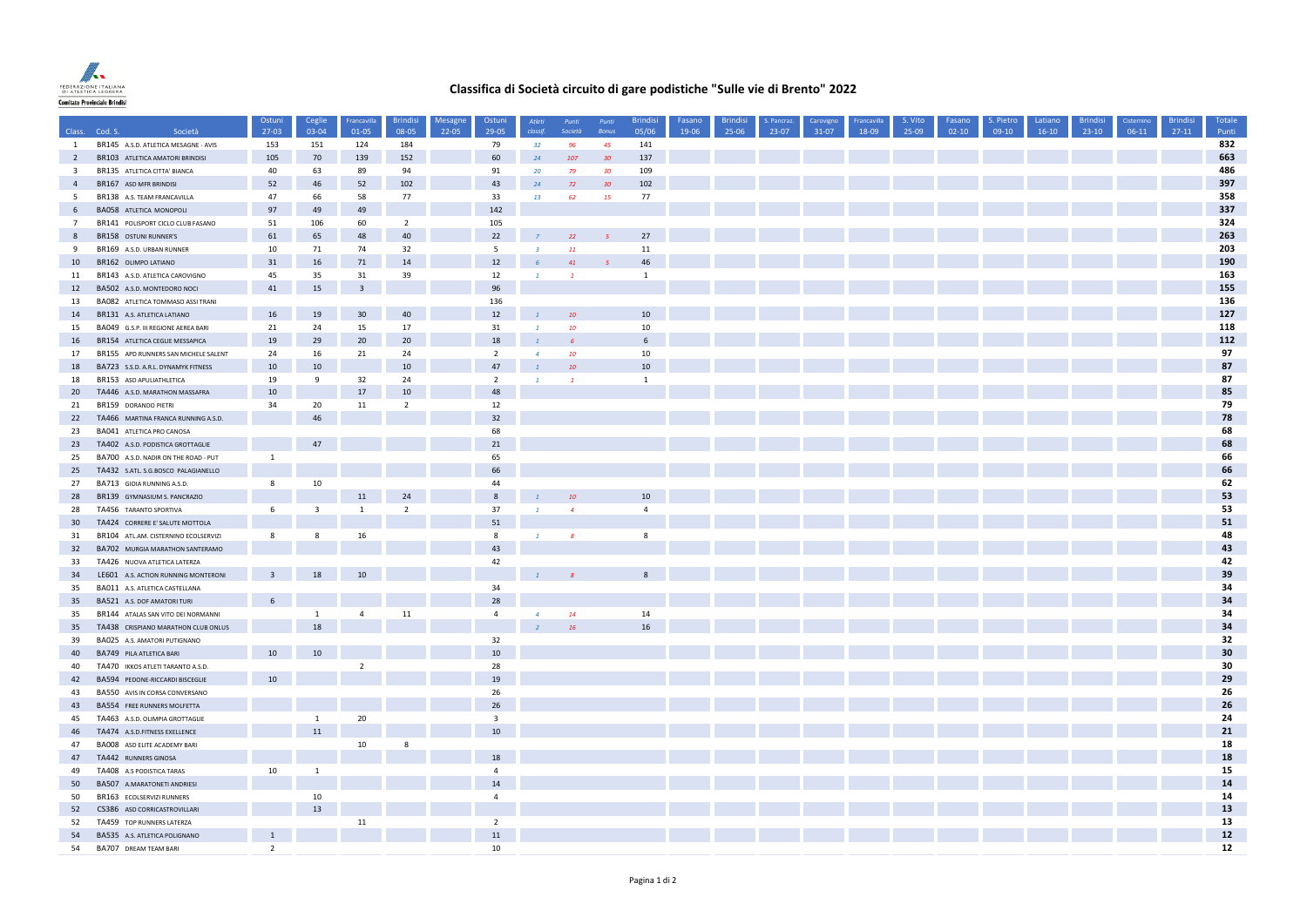

## **Classifica di Società circuito di gare podistiche "Sulle vie di Brento" 2022**

|                         |                                                                    | Ostuni         | Ceglie                  | Francavilla          | <b>Brindisi</b>  | Mesagne | Ostuni                  | Atleti          | Punti            | Punti        | <b>Brindisi</b>  | Fasano | <b>Brindisi</b> | . Pancraz | Carovigno | Francavilla | S. Vito | Fasano  | S. Pietro | Latiano | <b>Brindisi</b> | Cisternino | <b>Brindisi</b> | Totale     |
|-------------------------|--------------------------------------------------------------------|----------------|-------------------------|----------------------|------------------|---------|-------------------------|-----------------|------------------|--------------|------------------|--------|-----------------|-----------|-----------|-------------|---------|---------|-----------|---------|-----------------|------------|-----------------|------------|
|                         | Class. Cod. S.<br>Società                                          | $27-03$        | 03-04                   | 01-05                | 08-05            | 22-05   | 29-05                   | classif.        | Società          | <b>Bonus</b> | 05/06            | 19-06  | 25-06           | 23-07     | $31-07$   | 18-09       | 25-09   | $02-10$ | 09-10     | $16-10$ | $23-10$         | 06-11      | $27-11$         | Punti      |
| $\mathbf{1}$            | BR145 A.S.D. ATLETICA MESAGNE - AVIS                               | 153            | 151                     | 124                  | 184              |         | 79                      | 32 <sub>2</sub> | -96              | 45           | 141              |        |                 |           |           |             |         |         |           |         |                 |            |                 | 832        |
| $\overline{2}$          | BR103 ATLETICA AMATORI BRINDISI                                    | 105            | 70                      | 139                  | 152              |         | 60                      | 24              | 107              | 30           | 137              |        |                 |           |           |             |         |         |           |         |                 |            |                 | 663        |
| $\overline{\mathbf{3}}$ | BR135 ATLETICA CITTA' BIANCA                                       | 40             | 63                      | 89                   | 94               |         | 91                      | 20              | 79               | 30           | 109              |        |                 |           |           |             |         |         |           |         |                 |            |                 | 486<br>397 |
| $\overline{4}$          | BR167 ASD MFR BRINDISI                                             | 52             | 46                      | 52                   | 102              |         | 43                      | 24              | 72               | 30           | 102              |        |                 |           |           |             |         |         |           |         |                 |            |                 |            |
| 5                       | BR138 A.S. TEAM FRANCAVILLA                                        | 47             | 66                      | 58                   | 77               |         | 33                      | 13              | 62               | 15           | 77               |        |                 |           |           |             |         |         |           |         |                 |            |                 | 358<br>337 |
| $6\overline{6}$         | BA058 ATLETICA MONOPOLI                                            | 97             | 49                      | 49                   |                  |         | 142                     |                 |                  |              |                  |        |                 |           |           |             |         |         |           |         |                 |            |                 | 324        |
| $7\overline{ }$         | BR141 POLISPORT CICLO CLUB FASANO                                  | 51             | 106                     | 60                   | $\overline{2}$   |         | 105<br>22               |                 |                  |              | 27               |        |                 |           |           |             |         |         |           |         |                 |            |                 | 263        |
| 8<br>9                  | BR158 OSTUNI RUNNER'S                                              | 61<br>10       | 65<br>71                | 48<br>74             | 40<br>32         |         | 5 <sup>1</sup>          | $\overline{3}$  | 22<br>11         |              | 11               |        |                 |           |           |             |         |         |           |         |                 |            |                 | 203        |
|                         | BR169 A.S.D. URBAN RUNNER                                          |                |                         |                      |                  |         |                         |                 |                  |              | 46               |        |                 |           |           |             |         |         |           |         |                 |            |                 | 190        |
| 10                      | BR162 OLIMPO LATIANO                                               | 31             | 16                      | 71                   | 14               |         | 12                      |                 | 41               |              |                  |        |                 |           |           |             |         |         |           |         |                 |            |                 | 163        |
| 11<br>12                | BR143 A.S.D. ATLETICA CAROVIGNO<br>BA502 A.S.D. MONTEDORO NOCI     | 45<br>41       | 35<br>15                | 31<br>$\overline{3}$ | 39               |         | 12<br>96                |                 |                  |              | $\mathbf{1}$     |        |                 |           |           |             |         |         |           |         |                 |            |                 | 155        |
|                         |                                                                    |                |                         |                      |                  |         |                         |                 |                  |              |                  |        |                 |           |           |             |         |         |           |         |                 |            |                 | 136        |
| 13<br>14                | BA082 ATLETICA TOMMASO ASSI TRANI                                  | 16             | 19                      | 30 <sup>°</sup>      | 40               |         | 136<br>12               | $\overline{1}$  |                  |              | $10\,$           |        |                 |           |           |             |         |         |           |         |                 |            |                 | 127        |
| 15                      | BR131 A.S. ATLETICA LATIANO<br>BA049 G.S.P. III REGIONE AEREA BARI | 21             | 24                      | 15                   | 17               |         | 31                      | $\mathbf{1}$    | 10<br>10         |              | 10               |        |                 |           |           |             |         |         |           |         |                 |            |                 | 118        |
| 16                      | BR154 ATLETICA CEGLIE MESSAPICA                                    | 19             | 29                      | 20                   | 20               |         | 18                      |                 |                  |              | $6 \overline{6}$ |        |                 |           |           |             |         |         |           |         |                 |            |                 | 112        |
| 17                      |                                                                    | 24             | 16                      | 21                   | 24               |         | $\overline{2}$          | $\overline{a}$  | 10 <sup>10</sup> |              | 10               |        |                 |           |           |             |         |         |           |         |                 |            |                 | 97         |
|                         | BR155 APD RUNNERS SAN MICHELE SALENT                               |                | 10                      |                      | 10               |         | 47                      |                 | 10               |              | 10               |        |                 |           |           |             |         |         |           |         |                 |            |                 | 87         |
| 18<br>18                | BA723 S.S.D. A.R.L. DYNAMYK FITNESS<br>BR153 ASD APULIATHLETICA    | 10<br>19       | 9                       | 32                   | 24               |         | $\overline{2}$          |                 | $\mathbf{1}$     |              | $\mathbf{1}$     |        |                 |           |           |             |         |         |           |         |                 |            |                 | 87         |
| 20                      | TA446 A.S.D. MARATHON MASSAFRA                                     | 10             |                         | 17                   | 10 <sup>10</sup> |         | 48                      |                 |                  |              |                  |        |                 |           |           |             |         |         |           |         |                 |            |                 | 85         |
| 21                      | BR159 DORANDO PIETRI                                               | 34             | 20                      | 11                   | $\overline{z}$   |         | 12                      |                 |                  |              |                  |        |                 |           |           |             |         |         |           |         |                 |            |                 | 79         |
| 22                      | TA466 MARTINA FRANCA RUNNING A.S.D.                                |                | 46                      |                      |                  |         | 32                      |                 |                  |              |                  |        |                 |           |           |             |         |         |           |         |                 |            |                 | 78         |
| 23                      | BA041 ATLETICA PRO CANOSA                                          |                |                         |                      |                  |         | 68                      |                 |                  |              |                  |        |                 |           |           |             |         |         |           |         |                 |            |                 | 68         |
| 23                      | TA402 A.S.D. PODISTICA GROTTAGLIE                                  |                | 47                      |                      |                  |         | 21                      |                 |                  |              |                  |        |                 |           |           |             |         |         |           |         |                 |            |                 | 68         |
| 25                      | BA700 A.S.D. NADIR ON THE ROAD - PUT                               | $\mathbf{1}$   |                         |                      |                  |         | 65                      |                 |                  |              |                  |        |                 |           |           |             |         |         |           |         |                 |            |                 | 66         |
| 25                      | TA432 S.ATL. S.G.BOSCO PALAGIANELLO                                |                |                         |                      |                  |         | 66                      |                 |                  |              |                  |        |                 |           |           |             |         |         |           |         |                 |            |                 | 66         |
| 27                      | BA713 GIOIA RUNNING A.S.D.                                         | 8              | 10                      |                      |                  |         | 44                      |                 |                  |              |                  |        |                 |           |           |             |         |         |           |         |                 |            |                 | 62         |
| 28                      | BR139 GYMNASIUM S. PANCRAZIO                                       |                |                         | 11                   | 24               |         | $\bf 8$                 | $\mathbf{1}$    | 10               |              | 10               |        |                 |           |           |             |         |         |           |         |                 |            |                 | 53         |
| 28                      | TA456 TARANTO SPORTIVA                                             | $\,$ 6 $\,$    | $\overline{\mathbf{3}}$ | $\mathbf{1}$         | $\overline{2}$   |         | 37                      | $\mathbf{1}$    | $\overline{A}$   |              | $\overline{4}$   |        |                 |           |           |             |         |         |           |         |                 |            |                 | 53         |
| 30                      | TA424 CORRERE E' SALUTE MOTTOLA                                    |                |                         |                      |                  |         | 51                      |                 |                  |              |                  |        |                 |           |           |             |         |         |           |         |                 |            |                 | 51         |
| 31                      | BR104 ATL.AM. CISTERNINO ECOLSERVIZI                               | 8              | 8                       | 16                   |                  |         | 8                       |                 | $\overline{g}$   |              | 8                |        |                 |           |           |             |         |         |           |         |                 |            |                 | 48         |
| 32                      | BA702 MURGIA MARATHON SANTERAMO                                    |                |                         |                      |                  |         | 43                      |                 |                  |              |                  |        |                 |           |           |             |         |         |           |         |                 |            |                 | 43         |
| 33                      | TA426 NUOVA ATLETICA LATERZA                                       |                |                         |                      |                  |         | 42                      |                 |                  |              |                  |        |                 |           |           |             |         |         |           |         |                 |            |                 | 42         |
| 34                      | LE601 A.S. ACTION RUNNING MONTERONI                                |                | 18                      | 10                   |                  |         |                         | $\overline{1}$  |                  |              | 8                |        |                 |           |           |             |         |         |           |         |                 |            |                 | 39         |
| 35                      | BA011 A.S. ATLETICA CASTELLANA                                     |                |                         |                      |                  |         | 34                      |                 |                  |              |                  |        |                 |           |           |             |         |         |           |         |                 |            |                 | 34         |
| 35                      | BA521 A.S. DOF AMATORI TURI                                        | 6              |                         |                      |                  |         | 28                      |                 |                  |              |                  |        |                 |           |           |             |         |         |           |         |                 |            |                 | 34         |
| 35                      | BR144 ATALAS SAN VITO DEI NORMANNI                                 |                | $\mathbf{1}$            | $\overline{4}$       | 11               |         | $\overline{4}$          | $\overline{a}$  | 14               |              | 14               |        |                 |           |           |             |         |         |           |         |                 |            |                 | 34         |
| 35                      | TA438 CRISPIANO MARATHON CLUB ONLUS                                |                | 18                      |                      |                  |         |                         |                 | 16               |              | 16               |        |                 |           |           |             |         |         |           |         |                 |            |                 | 34         |
| 39                      | BA025 A.S. AMATORI PUTIGNANO                                       |                |                         |                      |                  |         | 32                      |                 |                  |              |                  |        |                 |           |           |             |         |         |           |         |                 |            |                 | 32         |
| 40                      | BA749 PILA ATLETICA BARI                                           | 10             | 10                      |                      |                  |         | 10                      |                 |                  |              |                  |        |                 |           |           |             |         |         |           |         |                 |            |                 | 30         |
| 40                      | TA470 IKKOS ATLETI TARANTO A.S.D.                                  |                |                         | $\overline{2}$       |                  |         | 28                      |                 |                  |              |                  |        |                 |           |           |             |         |         |           |         |                 |            |                 | 30         |
| 42                      | BA594 PEDONE-RICCARDI BISCEGLIE                                    | 10             |                         |                      |                  |         | 19                      |                 |                  |              |                  |        |                 |           |           |             |         |         |           |         |                 |            |                 | 29         |
| 43                      | BA550 AVIS IN CORSA CONVERSANO                                     |                |                         |                      |                  |         | 26                      |                 |                  |              |                  |        |                 |           |           |             |         |         |           |         |                 |            |                 | 26         |
| 43                      | <b>BA554 FREE RUNNERS MOLFETTA</b>                                 |                |                         |                      |                  |         | 26                      |                 |                  |              |                  |        |                 |           |           |             |         |         |           |         |                 |            |                 | 26         |
| 45                      | TA463 A.S.D. OLIMPIA GROTTAGLIE                                    |                | $\mathbf{1}$            | 20                   |                  |         | $\overline{\mathbf{3}}$ |                 |                  |              |                  |        |                 |           |           |             |         |         |           |         |                 |            |                 | 24         |
| 46                      | TA474 A.S.D.FITNESS EXELLENCE                                      |                | 11                      |                      |                  |         | 10                      |                 |                  |              |                  |        |                 |           |           |             |         |         |           |         |                 |            |                 | 21         |
| 47                      | BA008 ASD ELITE ACADEMY BARI                                       |                |                         | 10                   |                  |         |                         |                 |                  |              |                  |        |                 |           |           |             |         |         |           |         |                 |            |                 | 18         |
| 47                      | TA442 RUNNERS GINOSA                                               |                |                         |                      |                  |         | 18                      |                 |                  |              |                  |        |                 |           |           |             |         |         |           |         |                 |            |                 | 18         |
| 49                      | TA408 A.S PODISTICA TARAS                                          | 10             | 1                       |                      |                  |         | $\overline{4}$          |                 |                  |              |                  |        |                 |           |           |             |         |         |           |         |                 |            |                 | 15         |
| 50                      | BA507 A.MARATONETI ANDRIESI                                        |                |                         |                      |                  |         | 14                      |                 |                  |              |                  |        |                 |           |           |             |         |         |           |         |                 |            |                 | 14         |
| 50                      | BR163 ECOLSERVIZI RUNNERS                                          |                | 10                      |                      |                  |         | $\overline{4}$          |                 |                  |              |                  |        |                 |           |           |             |         |         |           |         |                 |            |                 | 14         |
| 52                      | CS386 ASD CORRICASTROVILLARI                                       |                | 13                      |                      |                  |         |                         |                 |                  |              |                  |        |                 |           |           |             |         |         |           |         |                 |            |                 | 13         |
| 52                      | TA459 TOP RUNNERS LATERZA                                          |                |                         | 11                   |                  |         | $\overline{2}$          |                 |                  |              |                  |        |                 |           |           |             |         |         |           |         |                 |            |                 | 13         |
| 54                      | BA535 A.S. ATLETICA POLIGNANO                                      | 1              |                         |                      |                  |         | 11                      |                 |                  |              |                  |        |                 |           |           |             |         |         |           |         |                 |            |                 | $12$       |
| 54                      | BA707 DREAM TEAM BARI                                              | $\overline{2}$ |                         |                      |                  |         | 10                      |                 |                  |              |                  |        |                 |           |           |             |         |         |           |         |                 |            |                 | 12         |